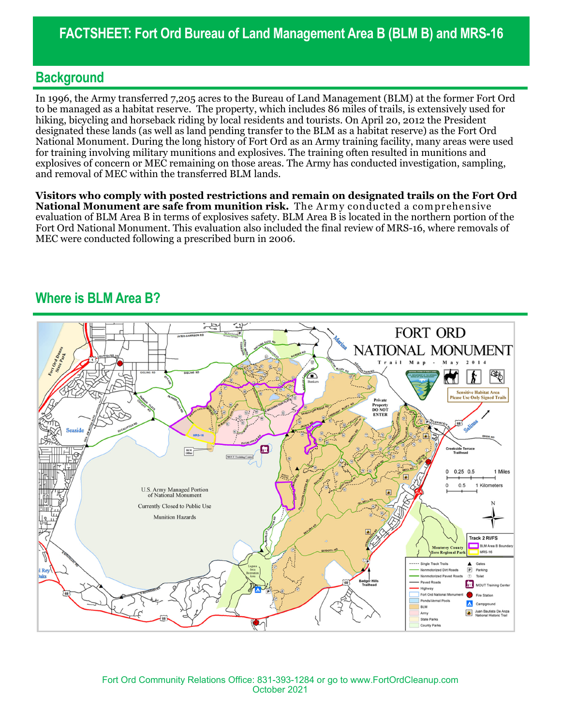#### **Background**

In 1996, the Army transferred 7,205 acres to the Bureau of Land Management (BLM) at the former Fort Ord to be managed as a habitat reserve. The property, which includes 86 miles of trails, is extensively used for hiking, bicycling and horseback riding by local residents and tourists. On April 20, 2012 the President designated these lands (as well as land pending transfer to the BLM as a habitat reserve) as the Fort Ord National Monument. During the long history of Fort Ord as an Army training facility, many areas were used for training involving military munitions and explosives. The training often resulted in munitions and explosives of concern or MEC remaining on those areas. The Army has conducted investigation, sampling, and removal of MEC within the transferred BLM lands.

**Visitors who comply with posted restrictions and remain on designated trails on the Fort Ord National Monument are safe from munition risk.** The Army conducted a comprehensive evaluation of BLM Area B in terms of explosives safety. BLM Area B is located in the northern portion of the Fort Ord National Monument. This evaluation also included the final review of MRS-16, where removals of MEC were conducted following a prescribed burn in 2006.

### **Where is BLM Area B?**